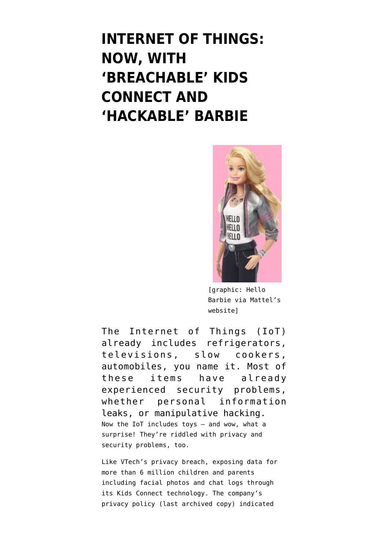## **[INTERNET OF THINGS:](https://www.emptywheel.net/2015/12/07/internet-of-things-now-with-breachable-connect-and-hackable-doll/) [NOW, WITH](https://www.emptywheel.net/2015/12/07/internet-of-things-now-with-breachable-connect-and-hackable-doll/) ['BREACHABLE' KIDS](https://www.emptywheel.net/2015/12/07/internet-of-things-now-with-breachable-connect-and-hackable-doll/) [CONNECT AND](https://www.emptywheel.net/2015/12/07/internet-of-things-now-with-breachable-connect-and-hackable-doll/) ['HACKABLE' BARBIE](https://www.emptywheel.net/2015/12/07/internet-of-things-now-with-breachable-connect-and-hackable-doll/)**



[graphic: Hello Barbie via Mattel's website]

The [Internet of Things](https://en.wikipedia.org/wiki/Internet_of_Things) (IoT) already includes [refrigerators](http://www.engadget.com/2011/01/04/lg-thinq-linqs-your-smart-appliances-with-wifi-and-smartphone-ap/), [televisions](http://www.pcmag.com/article2/0,2817,2476476,00.asp), [slow cookers](http://www.engadget.com/2014/09/19/belkin-crock-pot-smart-slow-cooker-review/), [automobiles](http://spectrum.ieee.org/cars-that-think/transportation/systems/black-hat-2014-hacking-the-smart-car), you name it. Most of these items have already experienced security problems, whether personal information leaks, or manipulative hacking. Now the IoT includes toys — and wow, what a surprise! They're riddled with privacy and security problems, too.

Like [VTech's privacy breach](http://motherboard.vice.com/read/one-of-the-largest-hacks-yet-exposes-data-on-hundreds-of-thousands-of-kids), exposing data for more than 6 million children and parents including facial photos and chat logs through its Kids Connect technology. The company's privacy policy ([last archived copy](https://web.archive.org/web/20150905054406/http://www.vtechkids.com/privacy_policy/)) indicated